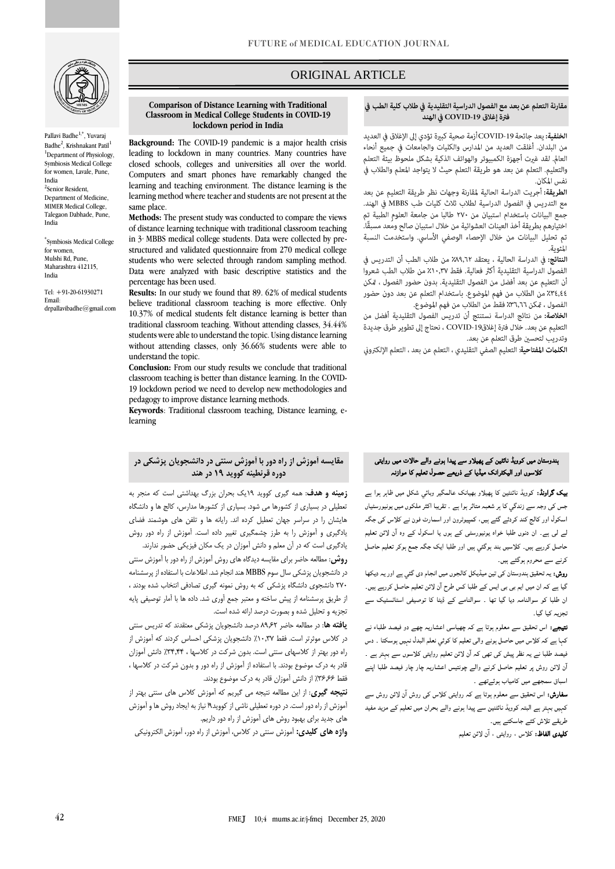

Pallavi Badhe<sup>1,\*</sup>, Yuvaraj Badhe<sup>2</sup>, Krishnakant Patil<sup>1</sup> <sup>1</sup>Department of Physiology, Symbiosis Medical College for women, Lavale, Pune, India <sup>2</sup>Senior Resident, Department of Medicine, MIMER Medical College,

\* Symbiosis Medical College for women, Mulshi Rd, Pune, Maharashtra 412115, India

Talegaon Dabhade, Pune,

same place.

percentage has been used.

understand the topic.

learning

India

Tel: +91-20-61930271 Email: drpallavibadhe@gmail.com

# ORIGINAL ARTICLE

### مقارنة التعلم عن بعد مع الفصول الدراسية التقليدية في طلاب كلية الطب في فترة إغلاق COVID-19 في الهند

ص

ا**لخلفية:** يعد جائحة COVID-19 أزمة صحية كبيرة تؤدي إلى الإغلاق في العديد من البلدان. أغلقت العديد من المدارس والكليات والجامعات في جميع أنحاء العالم. لقد غيرت أجهزة الكمبيوتر والهواتف الذكية بشكل ملحوظ بيئة التعلم والتعليم. التعلم عن بعد هو طريقة التعلم حيث لا يتواجد المعلم والطلاب في نفس المكان.

الطريقة: أجريت الدراسة الحالية لمقارنة وجهات نظر طريقة التعليم عن بعد مع التدريس في الفصول الدراسية لطلاب ثلاث كليات طب MBBS في الهند. جمع البيانات باستخدام استبيان من ٢٧٠ طالبًا من جامعة العلوم الطبية تم اختيارهم بطريقة أخذ العينات العشوائية من خلال استبيان صالح ومَعد مسبقًا. تم تحليل البيانات من خلال الإحصاء الوصفى الأساسى. واستخدمت النسبة المئوية.

النتائج: في الدراسة الحالية ، يعتقد ٨٩,٦٢٪ من طلاب الطب أن التدريس في الفصول الدراسية التقليدية أكثر فعالية. فقط ٢١٠,٣٧ من طلاب الطب شعروا أن التعليم عن بعد أفضل من الفصول التقليدية. بدون حضور الفصول ، مّكن ٢٤,٤٤٪ من الطلاب من فهم الموضوع. باستخدام التعلم عن بعد دون حضور الفصول ، مّكن ٣٦,٦٦٪ فقط من الطلاب من فهم الموضوع.

الخلاصة: من نتائج الدراسة نستنتج أن تدريس الفصول التقليدية أفضل من التعليم عن بعد. خلال فترة إغلاق19-COVID ، نحتاج إلى تطوير طرق جديدة وتدريب لتحسين طرق التعلم عن بعد.

**الكلمات المفتاحية**: التعليم الصفى التقليدي ، التعلم عن بعد ، التعلم الإلكتروني

# **مقایسه آموزش از راه دور با آموزش سنتی در دانشجویان پزشکی در دوره قرنطینه کووید 19 در هند**

**Comparison of Distance Learning with Traditional Classroom in Medical College Students in COVID-19 lockdown period in India**

**Background:** The COVID-19 pandemic is a major health crisis leading to lockdown in many countries. Many countries have closed schools, colleges and universities all over the world. Computers and smart phones have remarkably changed the learning and teaching environment. The distance learning is the learning method where teacher and students are not present at the

**Methods:** The present study was conducted to compare the views of distance learning technique with traditional classroom teaching in 3<sup>ª</sup> MBBS medical college students. Data were collected by prestructured and validated questionnaire from 270 medical college students who were selected through random sampling method. Data were analyzed with basic descriptive statistics and the

**Results:** In our study we found that 89. 62% of medical students believe traditional classroom teaching is more effective. Only 10.37% of medical students felt distance learning is better than traditional classroom teaching. Without attending classes, 34.44% students were able to understand the topic. Using distance learning without attending classes, only 36.66% students were able to

**Conclusion:** From our study results we conclude that traditional classroom teaching is better than distance learning. In the COVID-19 lockdown period we need to develop new methodologies and

**Keywords**: Traditional classroom teaching, Distance learning, e-

pedagogy to improve distance learning methods.

**زمینه و هدف**: همه گیری کووید 19یک بحران بزرگ بهداشتی است که منجر به تعطیلی در بسیاری از کشورها می شود. بسیاری از کشورها مدارس، کالج ها و دانشگاه هایشان را در سراسر جهان تعطیل کرده اند. رایانه ها و تلفن های هوشمند فضای یادگیری و آموزش را به طرز چشمگیری تغییر داده است. آموزش از راه دور روش یادگیری است که در آن معلم و دانش آموزان در یک مکان فیزیکی حضور ندارند.

**روش**: مطالعه حاضر برای مقایسه دیدگاه های روش آموزش از راه دور با آموزش سنتی در دانشجویان پزشکی سال سوم MBBS هند انجام شد. اطالعات با استفاده از پرسشنامه 270 دانشجوی دانشگاه پزشکی که به روش نمونه گیری تصادفی انتخاب شده بودند ، از طریق پرسشنامه از پیش ساخته و معتبر جمع آوری شد. داده ها با آمار توصیفی پایه تجزیه و تحلیل شده و بصورت درصد ارائه شده است.

**یافته ها**: در مطالعه حاضر 89.62 درصد دانشجویان پزشکی معتقدند که تدریس سنتی در کالس موثرتر است. فقط ٪10.37 دانشجویان پزشکی احساس کردند که آموزش از راه دور بهتر از کالسهای سنتی است. بدون شرکت در کالسها ، ٪34.44 دانش آموزان قادر به درک موضوع بودند. با استفاده از آموزش از راه دور و بدون شرکت در کالسها ، فقط ٪36.66 از دانش آموزان قادر به درک موضوع بودند.

**نتیجه گیری**: از این مطالعه نتیجه می گیریم که آموزش کالس های سنتی بهتر از آموزش از راه دور است. در دوره تعطیلی ناشی از کووید9ا نیاز به ایجاد روش ها و آموزش های جدید برای بهبود روش های آموزش از راه دور داریم.

**واژه های کلیدی:** آموزش سنتی در کالس، آموزش از راه دور، آموزش الکترونیکی

# ہندوستان میں کوویڈ نائٹین کے پھیلاو سے پیدا ہونے والے حالات میں روایتی کلاسوں اور الیکٹرانک میڈیا کے ذریعے حصول تعلیم کا موازنہ

بیک گراونڈ: کوویڈ نائنٹین کا پھیلاو بھیانک عالمگير وبائي شکل میں ظاہر ہوا ہے جس کی وجہ سے زندگي کا ہر شعبہ متاثر ہوا ہے ۔ تقریبا اکثر ملکوں میں یونیورسٹیاں اسکول اور کالج کند کردئے گئے ہیں، کمپیوٹرون اور اسمارٹ فون نے کلاس کی جگہ لے لی ہے۔ ان دنوں طلبا خواہ یونیورسٹی کے ہوں یا اسکول کے وہ ا ن لائن تعلیم حاصل کررہے ہیں۔ کلاسیں بند ہوگئي ہیں اور طلبا ایک جگہ جمع ہوکر تعلیم حاصل کرنے سے محروم ہوگئے ہیں۔

روش: یہ تحقیق ہندوستان کی تین میڈیکل کالجوں میں انجام دی گئي ہے اور یہ دیکھا گیا ہے کہ ان میں ایم بی بی ایس کے طلبا کس طرح آن لائن تعلیم حاصل کررہے ہیں۔ ان طلبا کو سوالنامہ دیا گيا تھا ۔ سوالنامے کے ڈیٹا کا توصیفی اسٹاٹسٹیک سے تجزیہ کیا گيا۔

نتیجے: اس تحقیق سے معلوم ہوتا ہے کہ چھیاسی اعشاریہ چھے دو فیصد طلباء نے کہا ہے کہ کلاس میں حاصل ہونے والی تعلیم کا کوئي نعلم البدل نہیں ہوسکتا ۔ دس فیصد طلبا نے یہ نظر پیش کی تھی کہ آن لائن تعلیم روایتی کلاسوں سے بہتر ہے ۔ ا ن لائن روش پر تعلیم حاصل کرنے والے چونتیس اعشاریہ چار چار فیصد طلبا اپنے اسباق سمجھے میں کامیاب ہوئےتھے ۔

**سفارش:** اس تحقیق سے معلوم ہوتا ہے کہ روایتی کلاس کی روش آن لائن روش سے کہیں بہتر ہے البتہ کوویڈ نائٹنین سے پیدا ہونے والے بحران میں تعلیم کے مزید مفید طریقے تلاش کئے جاسکتے ہیں۔

کلیدی الفاظ: کلاس ، روایتی ، آن لائن تعلیم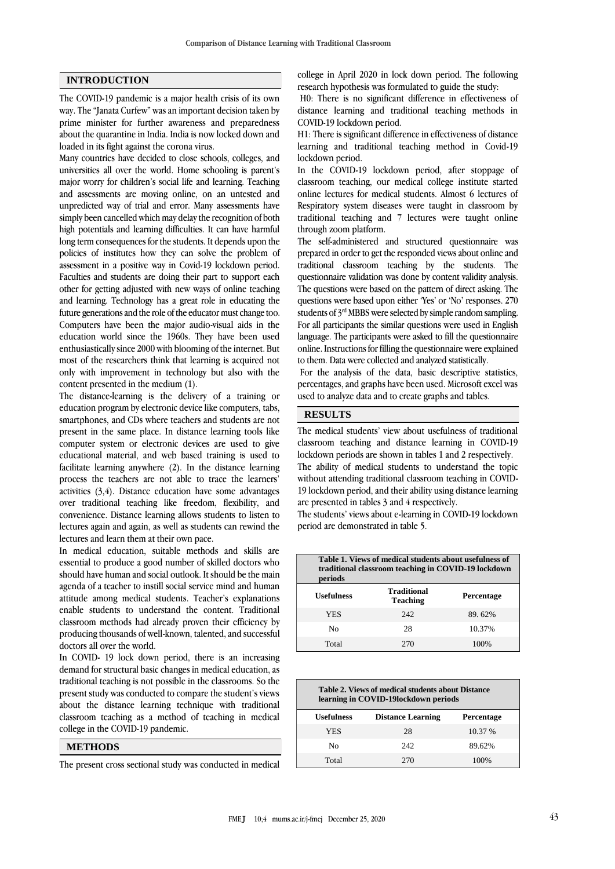### **INTRODUCTION**

The COVID-19 pandemic is a major health crisis of its own way. The "Janata Curfew" was an important decision taken by prime minister for further awareness and preparedness about the quarantine in India. India is now locked down and loaded in its fight against the corona virus.

Many countries have decided to close schools, colleges, and universities all over the world. Home schooling is parent's major worry for children's social life and learning. Teaching and assessments are moving online, on an untested and unpredicted way of trial and error. Many assessments have simply been cancelled which may delay the recognition of both high potentials and learning difficulties. It can have harmful long term consequences for the students. It depends upon the policies of institutes how they can solve the problem of assessment in a positive way in Covid-19 lockdown period. Faculties and students are doing their part to support each other for getting adjusted with new ways of online teaching and learning. Technology has a great role in educating the future generations and the role of the educator must change too. Computers have been the major audio-visual aids in the education world since the 1960s. They have been used enthusiastically since 2000 with blooming of the internet. But most of the researchers think that learning is acquired not only with improvement in technology but also with the content presented in the medium (1).

The distance-learning is the delivery of a training or education program by electronic device like computers, tabs, smartphones, and CDs where teachers and students are not present in the same place. In distance learning tools like computer system or electronic devices are used to give educational material, and web based training is used to facilitate learning anywhere (2). In the distance learning process the teachers are not able to trace the learners' activities  $(3, 4)$ . Distance education have some advantages over traditional teaching like freedom, flexibility, and convenience. Distance learning allows students to listen to lectures again and again, as well as students can rewind the lectures and learn them at their own pace.

In medical education, suitable methods and skills are essential to produce a good number of skilled doctors who should have human and social outlook. It should be the main agenda of a teacher to instill social service mind and human attitude among medical students. Teacher's explanations enable students to understand the content. Traditional classroom methods had already proven their efficiency by producing thousands of well-known, talented, and successful doctors all over the world.

In COVID- 19 lock down period, there is an increasing demand for structural basic changes in medical education, as traditional teaching is not possible in the classrooms. So the present study was conducted to compare the student's views about the distance learning technique with traditional classroom teaching as a method of teaching in medical college in the COVID-19 pandemic.

#### **METHODS**

The present cross sectional study was conducted in medical

college in April 2020 in lock down period. The following research hypothesis was formulated to guide the study:

H0: There is no significant difference in effectiveness of distance learning and traditional teaching methods in COVID-19 lockdown period.

H1: There is significant difference in effectiveness of distance learning and traditional teaching method in Covid-19 lockdown period.

In the COVID-19 lockdown period, after stoppage of classroom teaching, our medical college institute started online lectures for medical students. Almost 6 lectures of Respiratory system diseases were taught in classroom by traditional teaching and 7 lectures were taught online through zoom platform.

The self-administered and structured questionnaire was prepared in order to get the responded views about online and traditional classroom teaching by the students. The questionnaire validation was done by content validity analysis. The questions were based on the pattern of direct asking. The questions were based upon either 'Yes' or 'No' responses. 270 students of  $3<sup>rd</sup> MBBS$  were selected by simple random sampling. For all participants the similar questions were used in English language. The participants were asked to fill the questionnaire online. Instructions for filling the questionnaire were explained to them. Data were collected and analyzed statistically.

For the analysis of the data, basic descriptive statistics, percentages, and graphs have been used. Microsoft excel was used to analyze data and to create graphs and tables.

# **RESULTS**

The medical students' view about usefulness of traditional classroom teaching and distance learning in COVID-19 lockdown periods are shown in tables 1 and 2 respectively. The ability of medical students to understand the topic without attending traditional classroom teaching in COVID-19 lockdown period, and their ability using distance learning are presented in tables 3 and 4 respectively.

The students' views about e-learning in COVID-19 lockdown period are demonstrated in table 5.

| Table 1. Views of medical students about usefulness of<br>traditional classroom teaching in COVID-19 lockdown<br>periods |                                       |            |  |  |
|--------------------------------------------------------------------------------------------------------------------------|---------------------------------------|------------|--|--|
| Usefulness                                                                                                               | <b>Traditional</b><br><b>Teaching</b> | Percentage |  |  |
| <b>YES</b>                                                                                                               | 242.                                  | 89.62%     |  |  |
| No                                                                                                                       | 28                                    | 10.37%     |  |  |
| Total                                                                                                                    | 270                                   | 100%       |  |  |

| Table 2. Views of medical students about Distance<br>learning in COVID-19lockdown periods |                          |            |  |  |
|-------------------------------------------------------------------------------------------|--------------------------|------------|--|--|
| <b>Usefulness</b>                                                                         | <b>Distance Learning</b> | Percentage |  |  |
| <b>YES</b>                                                                                | 28                       | 10.37 %    |  |  |
| Nο                                                                                        | 242                      | 89.62%     |  |  |
| Total                                                                                     | 270                      | 100%       |  |  |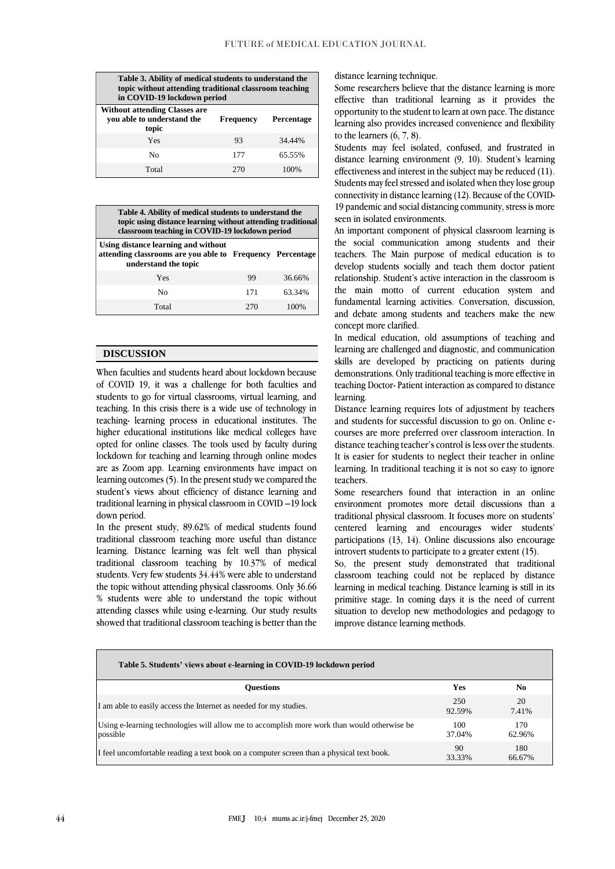| Table 3. Ability of medical students to understand the<br>topic without attending traditional classroom teaching<br>in COVID-19 lockdown period |                  |            |  |  |
|-------------------------------------------------------------------------------------------------------------------------------------------------|------------------|------------|--|--|
| <b>Without attending Classes are</b><br>you able to understand the<br>topic                                                                     | <b>Frequency</b> | Percentage |  |  |
| Yes                                                                                                                                             | 93               | 34.44%     |  |  |
| Nο                                                                                                                                              | 177              | 65.55%     |  |  |
| Total                                                                                                                                           | 270              | 100%       |  |  |

| Table 4. Ability of medical students to understand the<br>topic using distance learning without attending traditional<br>classroom teaching in COVID-19 lockdown period |     |        |  |  |
|-------------------------------------------------------------------------------------------------------------------------------------------------------------------------|-----|--------|--|--|
| Using distance learning and without<br>attending classrooms are you able to Frequency Percentage<br>understand the topic                                                |     |        |  |  |
| Yes                                                                                                                                                                     | 99  | 36.66% |  |  |
| N <sub>0</sub>                                                                                                                                                          | 171 | 63.34% |  |  |
| Total                                                                                                                                                                   | 270 |        |  |  |

#### **DISCUSSION**

When faculties and students heard about lockdown because of COVID 19, it was a challenge for both faculties and students to go for virtual classrooms, virtual learning, and teaching. In this crisis there is a wide use of technology in teaching- learning process in educational institutes. The higher educational institutions like medical colleges have opted for online classes. The tools used by faculty during lockdown for teaching and learning through online modes are as Zoom app. Learning environments have impact on learning outcomes (5). In the present study we compared the student's views about efficiency of distance learning and traditional learning in physical classroom in COVID –19 lock down period.

In the present study, 89.62% of medical students found traditional classroom teaching more useful than distance learning. Distance learning was felt well than physical traditional classroom teaching by 10.37% of medical students. Very few students 34.44% were able to understand the topic without attending physical classrooms. Only 36.66 % students were able to understand the topic without attending classes while using e-learning. Our study results showed that traditional classroom teaching is better than the

distance learning technique.

Some researchers believe that the distance learning is more effective than traditional learning as it provides the opportunity to the student to learn at own pace. The distance learning also provides increased convenience and flexibility to the learners (6, 7, 8).

Students may feel isolated, confused, and frustrated in distance learning environment (9, 10). Student's learning effectiveness and interest in the subject may be reduced (11). Students may feel stressed and isolated when they lose group connectivity in distance learning (12). Because of the COVID-19 pandemic and social distancing community, stress is more seen in isolated environments.

An important component of physical classroom learning is the social communication among students and their teachers. The Main purpose of medical education is to develop students socially and teach them doctor patient relationship. Student's active interaction in the classroom is the main motto of current education system and fundamental learning activities. Conversation, discussion, and debate among students and teachers make the new concept more clarified.

In medical education, old assumptions of teaching and learning are challenged and diagnostic, and communication skills are developed by practicing on patients during demonstrations. Only traditional teaching is more effective in teaching Doctor- Patient interaction as compared to distance learning.

Distance learning requires lots of adjustment by teachers and students for successful discussion to go on. Online ecourses are more preferred over classroom interaction. In distance teaching teacher's control is less over the students. It is easier for students to neglect their teacher in online learning. In traditional teaching it is not so easy to ignore teachers.

Some researchers found that interaction in an online environment promotes more detail discussions than a traditional physical classroom. It focuses more on students' centered learning and encourages wider students' participations (13, 14). Online discussions also encourage introvert students to participate to a greater extent (15).

So, the present study demonstrated that traditional classroom teaching could not be replaced by distance learning in medical teaching. Distance learning is still in its primitive stage. In coming days it is the need of current situation to develop new methodologies and pedagogy to improve distance learning methods.

| Table 5. Students' views about e-learning in COVID-19 lockdown period                                   |               |               |  |  |
|---------------------------------------------------------------------------------------------------------|---------------|---------------|--|--|
| <b>Ouestions</b>                                                                                        | <b>Yes</b>    | No.           |  |  |
| I am able to easily access the Internet as needed for my studies.                                       | 250<br>92.59% | 20<br>7.41%   |  |  |
| Using e-learning technologies will allow me to accomplish more work than would otherwise be<br>possible | 100<br>37.04% | 170<br>62.96% |  |  |
| I feel uncomfortable reading a text book on a computer screen than a physical text book.                | 90<br>33.33%  | 180<br>66.67% |  |  |